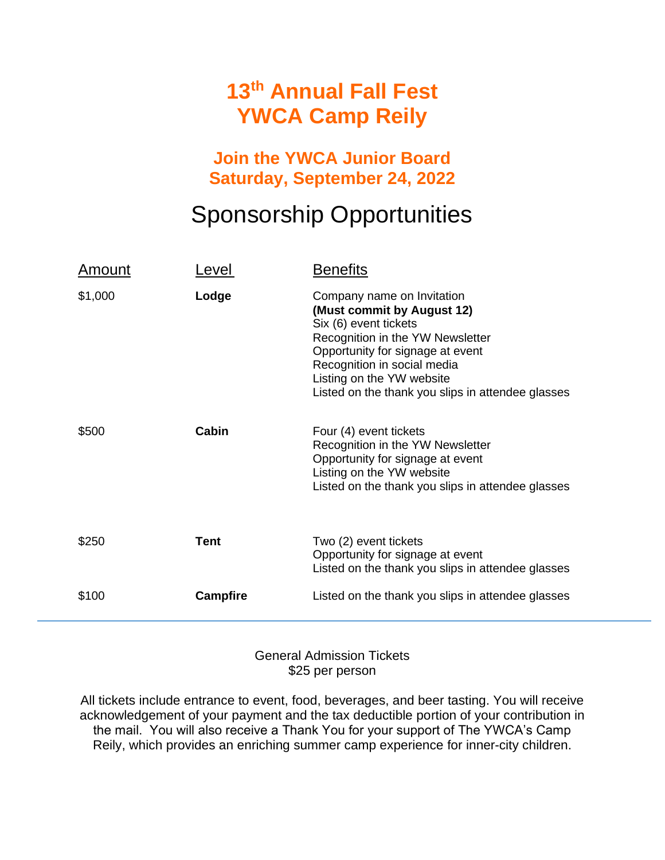### **13 th Annual Fall Fest YWCA Camp Reily**

#### **Join the YWCA Junior Board Saturday, September 24, 2022**

## Sponsorship Opportunities

| <u>Amount</u> | _evel           | <b>Benefits</b>                                                                                                                                                                                                                                                            |
|---------------|-----------------|----------------------------------------------------------------------------------------------------------------------------------------------------------------------------------------------------------------------------------------------------------------------------|
| \$1,000       | Lodge           | Company name on Invitation<br>(Must commit by August 12)<br>Six (6) event tickets<br>Recognition in the YW Newsletter<br>Opportunity for signage at event<br>Recognition in social media<br>Listing on the YW website<br>Listed on the thank you slips in attendee glasses |
| \$500         | Cabin           | Four (4) event tickets<br>Recognition in the YW Newsletter<br>Opportunity for signage at event<br>Listing on the YW website<br>Listed on the thank you slips in attendee glasses                                                                                           |
| \$250         | Tent            | Two (2) event tickets<br>Opportunity for signage at event<br>Listed on the thank you slips in attendee glasses                                                                                                                                                             |
| \$100         | <b>Campfire</b> | Listed on the thank you slips in attendee glasses                                                                                                                                                                                                                          |

General Admission Tickets \$25 per person

All tickets include entrance to event, food, beverages, and beer tasting. You will receive acknowledgement of your payment and the tax deductible portion of your contribution in the mail. You will also receive a Thank You for your support of The YWCA's Camp Reily, which provides an enriching summer camp experience for inner-city children.